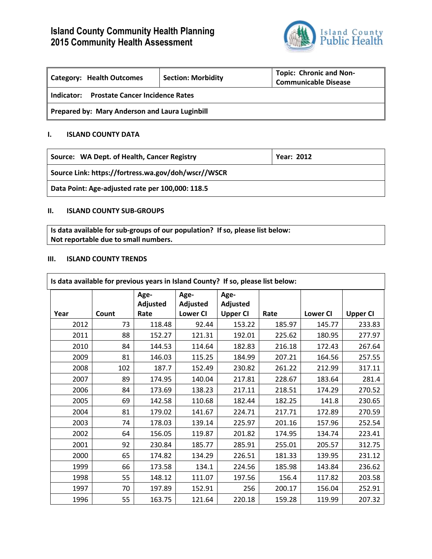# **Island County Community Health Planning 2015 Community Health Assessment**



| Category: Health Outcomes                            | <b>Section: Morbidity</b> | <b>Topic: Chronic and Non-</b><br><b>Communicable Disease</b> |  |  |  |
|------------------------------------------------------|---------------------------|---------------------------------------------------------------|--|--|--|
| <b>Prostate Cancer Incidence Rates</b><br>Indicator: |                           |                                                               |  |  |  |
| Prepared by: Mary Anderson and Laura Luginbill       |                           |                                                               |  |  |  |

## **I. ISLAND COUNTY DATA**

| Source: WA Dept. of Health, Cancer Registry         | <b>Year: 2012</b> |
|-----------------------------------------------------|-------------------|
| Source Link: https://fortress.wa.gov/doh/wscr//WSCR |                   |

**Data Point: Age-adjusted rate per 100,000: 118.5**

## **II. ISLAND COUNTY SUB-GROUPS**

**Is data available for sub-groups of our population? If so, please list below: Not reportable due to small numbers.**

#### **III. ISLAND COUNTY TRENDS**

| Is data available for previous years in Island County? If so, please list below: |       |          |                 |                 |        |                 |                 |
|----------------------------------------------------------------------------------|-------|----------|-----------------|-----------------|--------|-----------------|-----------------|
|                                                                                  |       | Age-     | Age-            | Age-            |        |                 |                 |
|                                                                                  |       | Adjusted | Adjusted        | Adjusted        |        |                 |                 |
| Year                                                                             | Count | Rate     | <b>Lower CI</b> | <b>Upper CI</b> | Rate   | <b>Lower CI</b> | <b>Upper CI</b> |
| 2012                                                                             | 73    | 118.48   | 92.44           | 153.22          | 185.97 | 145.77          | 233.83          |
| 2011                                                                             | 88    | 152.27   | 121.31          | 192.01          | 225.62 | 180.95          | 277.97          |
| 2010                                                                             | 84    | 144.53   | 114.64          | 182.83          | 216.18 | 172.43          | 267.64          |
| 2009                                                                             | 81    | 146.03   | 115.25          | 184.99          | 207.21 | 164.56          | 257.55          |
| 2008                                                                             | 102   | 187.7    | 152.49          | 230.82          | 261.22 | 212.99          | 317.11          |
| 2007                                                                             | 89    | 174.95   | 140.04          | 217.81          | 228.67 | 183.64          | 281.4           |
| 2006                                                                             | 84    | 173.69   | 138.23          | 217.11          | 218.51 | 174.29          | 270.52          |
| 2005                                                                             | 69    | 142.58   | 110.68          | 182.44          | 182.25 | 141.8           | 230.65          |
| 2004                                                                             | 81    | 179.02   | 141.67          | 224.71          | 217.71 | 172.89          | 270.59          |
| 2003                                                                             | 74    | 178.03   | 139.14          | 225.97          | 201.16 | 157.96          | 252.54          |
| 2002                                                                             | 64    | 156.05   | 119.87          | 201.82          | 174.95 | 134.74          | 223.41          |
| 2001                                                                             | 92    | 230.84   | 185.77          | 285.91          | 255.01 | 205.57          | 312.75          |
| 2000                                                                             | 65    | 174.82   | 134.29          | 226.51          | 181.33 | 139.95          | 231.12          |
| 1999                                                                             | 66    | 173.58   | 134.1           | 224.56          | 185.98 | 143.84          | 236.62          |
| 1998                                                                             | 55    | 148.12   | 111.07          | 197.56          | 156.4  | 117.82          | 203.58          |
| 1997                                                                             | 70    | 197.89   | 152.91          | 256             | 200.17 | 156.04          | 252.91          |
| 1996                                                                             | 55    | 163.75   | 121.64          | 220.18          | 159.28 | 119.99          | 207.32          |